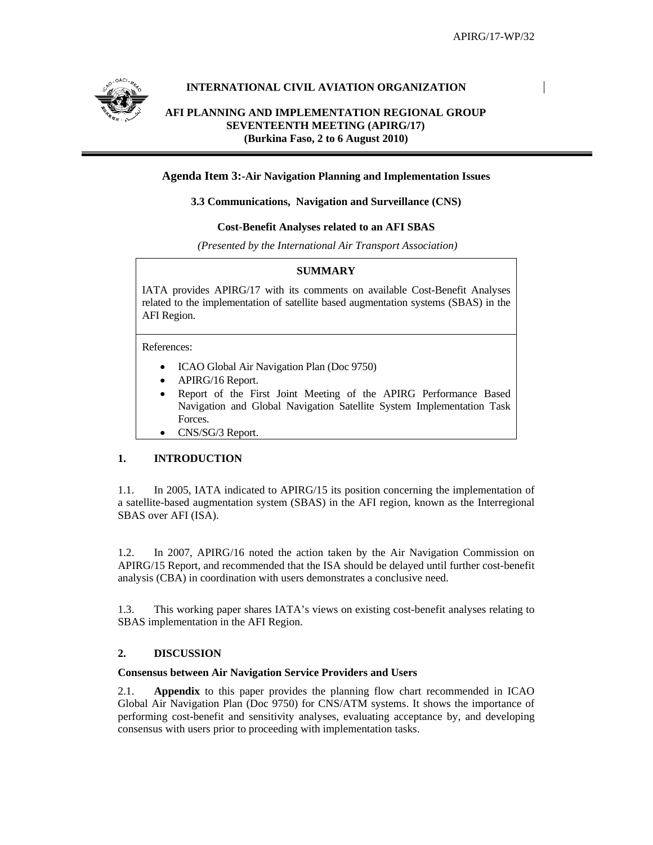

## **INTERNATIONAL CIVIL AVIATION ORGANIZATION**

# **AFI PLANNING AND IMPLEMENTATION REGIONAL GROUP SEVENTEENTH MEETING (APIRG/17) (Burkina Faso, 2 to 6 August 2010)**

## **Agenda Item 3:-Air Navigation Planning and Implementation Issues**

### **3.3 Communications, Navigation and Surveillance (CNS)**

### **Cost-Benefit Analyses related to an AFI SBAS**

 *(Presented by the International Air Transport Association)* 

## **SUMMARY**

IATA provides APIRG/17 with its comments on available Cost-Benefit Analyses related to the implementation of satellite based augmentation systems (SBAS) in the AFI Region.

References:

- ICAO Global Air Navigation Plan (Doc 9750)
- APIRG/16 Report.
- Report of the First Joint Meeting of the APIRG Performance Based Navigation and Global Navigation Satellite System Implementation Task Forces.
- CNS/SG/3 Report.

# **1. INTRODUCTION**

1.1. In 2005, IATA indicated to APIRG/15 its position concerning the implementation of a satellite-based augmentation system (SBAS) in the AFI region, known as the Interregional SBAS over AFI (ISA).

1.2. In 2007, APIRG/16 noted the action taken by the Air Navigation Commission on APIRG/15 Report, and recommended that the ISA should be delayed until further cost-benefit analysis (CBA) in coordination with users demonstrates a conclusive need.

1.3. This working paper shares IATA's views on existing cost-benefit analyses relating to SBAS implementation in the AFI Region.

# **2. DISCUSSION**

### **Consensus between Air Navigation Service Providers and Users**

2.1. **Appendix** to this paper provides the planning flow chart recommended in ICAO Global Air Navigation Plan (Doc 9750) for CNS/ATM systems. It shows the importance of performing cost-benefit and sensitivity analyses, evaluating acceptance by, and developing consensus with users prior to proceeding with implementation tasks.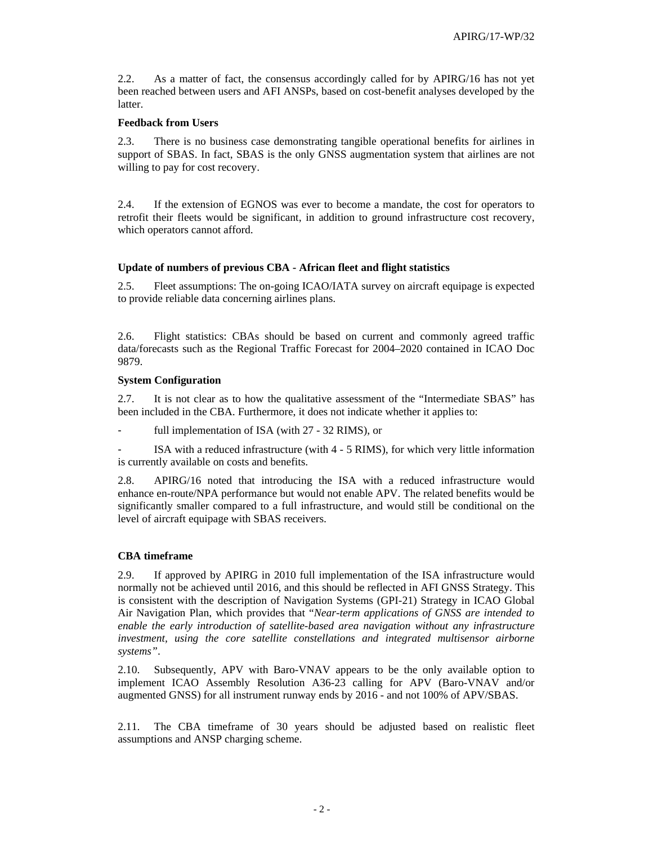2.2. As a matter of fact, the consensus accordingly called for by APIRG/16 has not yet been reached between users and AFI ANSPs, based on cost-benefit analyses developed by the **latter** 

#### **Feedback from Users**

2.3. There is no business case demonstrating tangible operational benefits for airlines in support of SBAS. In fact, SBAS is the only GNSS augmentation system that airlines are not willing to pay for cost recovery.

2.4. If the extension of EGNOS was ever to become a mandate, the cost for operators to retrofit their fleets would be significant, in addition to ground infrastructure cost recovery, which operators cannot afford.

### **Update of numbers of previous CBA - African fleet and flight statistics**

2.5. Fleet assumptions: The on-going ICAO/IATA survey on aircraft equipage is expected to provide reliable data concerning airlines plans.

2.6. Flight statistics: CBAs should be based on current and commonly agreed traffic data/forecasts such as the Regional Traffic Forecast for 2004–2020 contained in ICAO Doc 9879.

#### **System Configuration**

2.7. It is not clear as to how the qualitative assessment of the "Intermediate SBAS" has been included in the CBA. Furthermore, it does not indicate whether it applies to:

- full implementation of ISA (with 27 - 32 RIMS), or

ISA with a reduced infrastructure (with 4 - 5 RIMS), for which very little information is currently available on costs and benefits.

2.8. APIRG/16 noted that introducing the ISA with a reduced infrastructure would enhance en-route/NPA performance but would not enable APV. The related benefits would be significantly smaller compared to a full infrastructure, and would still be conditional on the level of aircraft equipage with SBAS receivers.

### **CBA timeframe**

2.9. If approved by APIRG in 2010 full implementation of the ISA infrastructure would normally not be achieved until 2016, and this should be reflected in AFI GNSS Strategy. This is consistent with the description of Navigation Systems (GPI-21) Strategy in ICAO Global Air Navigation Plan, which provides that "*Near-term applications of GNSS are intended to enable the early introduction of satellite-based area navigation without any infrastructure investment, using the core satellite constellations and integrated multisensor airborne systems"*.

2.10. Subsequently, APV with Baro-VNAV appears to be the only available option to implement ICAO Assembly Resolution A36-23 calling for APV (Baro-VNAV and/or augmented GNSS) for all instrument runway ends by 2016 - and not 100% of APV/SBAS.

2.11. The CBA timeframe of 30 years should be adjusted based on realistic fleet assumptions and ANSP charging scheme.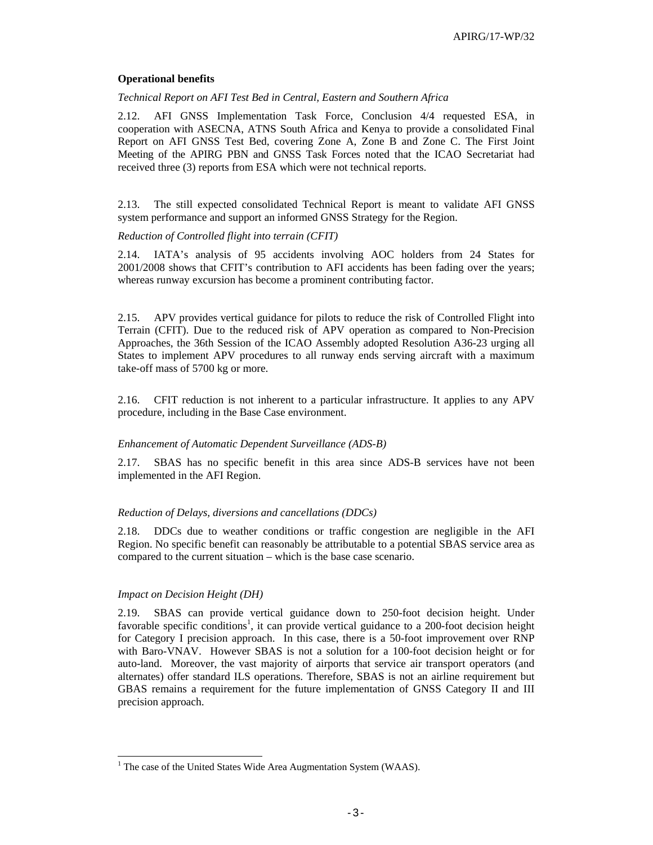### **Operational benefits**

*Technical Report on AFI Test Bed in Central, Eastern and Southern Africa* 

2.12. AFI GNSS Implementation Task Force, Conclusion 4/4 requested ESA, in cooperation with ASECNA, ATNS South Africa and Kenya to provide a consolidated Final Report on AFI GNSS Test Bed, covering Zone A, Zone B and Zone C. The First Joint Meeting of the APIRG PBN and GNSS Task Forces noted that the ICAO Secretariat had received three (3) reports from ESA which were not technical reports.

2.13. The still expected consolidated Technical Report is meant to validate AFI GNSS system performance and support an informed GNSS Strategy for the Region.

#### *Reduction of Controlled flight into terrain (CFIT)*

2.14. IATA's analysis of 95 accidents involving AOC holders from 24 States for 2001/2008 shows that CFIT's contribution to AFI accidents has been fading over the years; whereas runway excursion has become a prominent contributing factor.

2.15. APV provides vertical guidance for pilots to reduce the risk of Controlled Flight into Terrain (CFIT). Due to the reduced risk of APV operation as compared to Non-Precision Approaches, the 36th Session of the ICAO Assembly adopted Resolution A36-23 urging all States to implement APV procedures to all runway ends serving aircraft with a maximum take-off mass of 5700 kg or more.

2.16. CFIT reduction is not inherent to a particular infrastructure. It applies to any APV procedure, including in the Base Case environment.

#### *Enhancement of Automatic Dependent Surveillance (ADS-B)*

2.17. SBAS has no specific benefit in this area since ADS-B services have not been implemented in the AFI Region.

### *Reduction of Delays, diversions and cancellations (DDCs)*

2.18. DDCs due to weather conditions or traffic congestion are negligible in the AFI Region. No specific benefit can reasonably be attributable to a potential SBAS service area as compared to the current situation – which is the base case scenario.

#### *Impact on Decision Height (DH)*

 $\overline{a}$ 

2.19. SBAS can provide vertical guidance down to 250-foot decision height. Under favorable specific conditions<sup>1</sup>, it can provide vertical guidance to a 200-foot decision height for Category I precision approach. In this case, there is a 50-foot improvement over RNP with Baro-VNAV. However SBAS is not a solution for a 100-foot decision height or for auto-land. Moreover, the vast majority of airports that service air transport operators (and alternates) offer standard ILS operations. Therefore, SBAS is not an airline requirement but GBAS remains a requirement for the future implementation of GNSS Category II and III precision approach.

<sup>&</sup>lt;sup>1</sup> The case of the United States Wide Area Augmentation System (WAAS).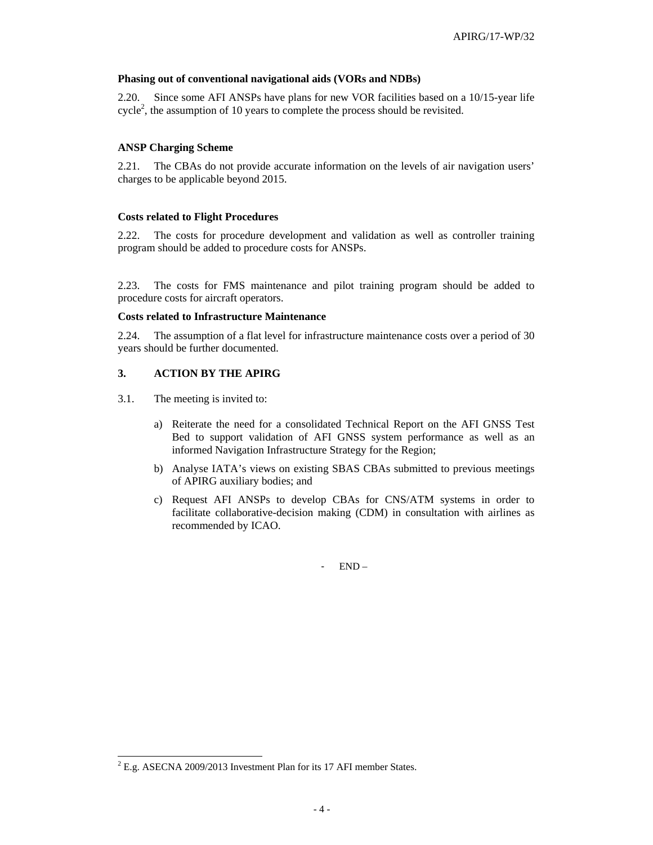#### **Phasing out of conventional navigational aids (VORs and NDBs)**

2.20. Since some AFI ANSPs have plans for new VOR facilities based on a 10/15-year life cycle<sup>2</sup>, the assumption of 10 years to complete the process should be revisited.

### **ANSP Charging Scheme**

2.21. The CBAs do not provide accurate information on the levels of air navigation users' charges to be applicable beyond 2015.

#### **Costs related to Flight Procedures**

2.22. The costs for procedure development and validation as well as controller training program should be added to procedure costs for ANSPs.

2.23. The costs for FMS maintenance and pilot training program should be added to procedure costs for aircraft operators.

#### **Costs related to Infrastructure Maintenance**

2.24. The assumption of a flat level for infrastructure maintenance costs over a period of 30 years should be further documented.

### **3. ACTION BY THE APIRG**

3.1. The meeting is invited to:

 $\overline{a}$ 

- a) Reiterate the need for a consolidated Technical Report on the AFI GNSS Test Bed to support validation of AFI GNSS system performance as well as an informed Navigation Infrastructure Strategy for the Region;
- b) Analyse IATA's views on existing SBAS CBAs submitted to previous meetings of APIRG auxiliary bodies; and
- c) Request AFI ANSPs to develop CBAs for CNS/ATM systems in order to facilitate collaborative-decision making (CDM) in consultation with airlines as recommended by ICAO.

- END –

 $^{2}$  E.g. ASECNA 2009/2013 Investment Plan for its 17 AFI member States.